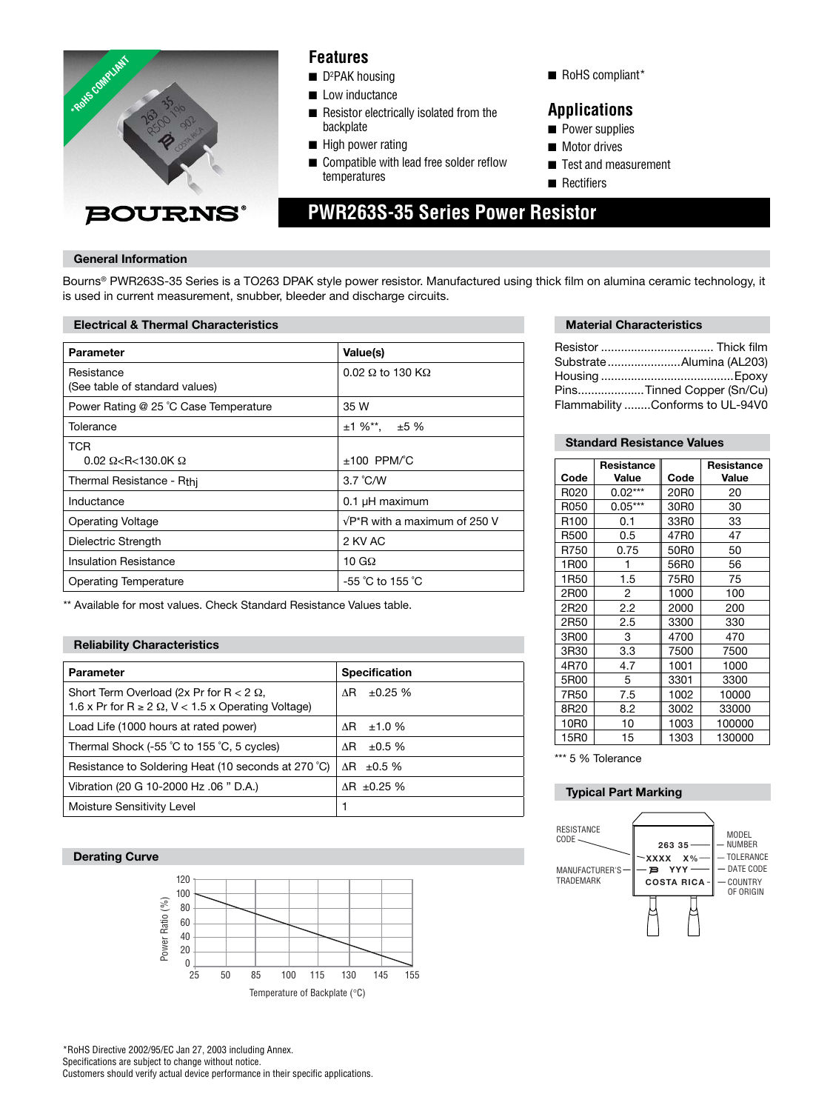

### **Features**

- D<sup>2</sup>PAK housing
- Low inductance
- Resistor electrically isolated from the backplate
- High power rating
- Compatible with lead free solder reflow temperatures
- RoHS compliant\*

### **Applications**

- Power supplies
- Motor drives
- Test and measurement
- Rectifiers

# **PWR263S-35 Series Power Resistor**

#### **General Information**

Bourns® PWR263S-35 Series is a TO263 DPAK style power resistor. Manufactured using thick film on alumina ceramic technology, it is used in current measurement, snubber, bleeder and discharge circuits.

#### **Electrical & Thermal Characteristics**

| <b>Parameter</b>                                | Value(s)                              |  |
|-------------------------------------------------|---------------------------------------|--|
| Resistance<br>(See table of standard values)    | $0.02 \Omega$ to 130 K $\Omega$       |  |
| Power Rating @ 25 °C Case Temperature           | 35 W                                  |  |
| Tolerance                                       | $±1\%$ <sup>**</sup> , $±5\%$         |  |
| <b>TCR</b><br>$0.02 \Omega < R < 130.0K \Omega$ | $±100$ PPM/°C                         |  |
| Thermal Resistance - Rthi                       | $3.7^{\circ}$ C/W                     |  |
| Inductance                                      | $0.1$ µH maximum                      |  |
| <b>Operating Voltage</b>                        | $\sqrt{P^*R}$ with a maximum of 250 V |  |
| Dielectric Strength                             | 2 KV AC                               |  |
| Insulation Resistance                           | 10 G $\Omega$                         |  |
| Operating Temperature                           | $-55$ °C to 155 °C                    |  |

\*\* Available for most values. Check Standard Resistance Values table.

#### **Reliability Characteristics**

| <b>Parameter</b>                                                                                                  | <b>Specification</b>   |
|-------------------------------------------------------------------------------------------------------------------|------------------------|
| Short Term Overload (2x Pr for $R < 2 \Omega$ ,<br>1.6 x Pr for $R \ge 2 \Omega$ , $V < 1.5$ x Operating Voltage) | $\pm 0.25 \%$<br>ΛR.   |
| Load Life (1000 hours at rated power)                                                                             | ±1.0%<br>ΛR.           |
| Thermal Shock (-55 °C to 155 °C, 5 cycles)                                                                        | ±0.5%<br>ΛR            |
| Resistance to Soldering Heat (10 seconds at 270 °C)                                                               | $\Delta$ R $\pm$ 0.5 % |
| Vibration (20 G 10-2000 Hz .06 " D.A.)                                                                            | $\Delta$ R ±0.25 %     |
| Moisture Sensitivity Level                                                                                        |                        |

#### **Derating Curve**



\*RoHS Directive 2002/95/EC Jan 27, 2003 including Annex. Specifications are subject to change without notice. Customers should verify actual device performance in their specific applications.

#### **Material Characteristics**

| Resistor  Thick film             |
|----------------------------------|
| SubstrateAlumina (AL203)         |
|                                  |
| PinsTinned Copper (Sn/Cu)        |
| Flammability Conforms to UL-94V0 |
|                                  |

#### **Standard Resistance Values**

|                  | Resistance |      | Resistance |
|------------------|------------|------|------------|
| Code             | Value      | Code | Value      |
| R020             | $0.02***$  | 20R0 | 20         |
| R050             | $0.05***$  | 30R0 | 30         |
| R <sub>100</sub> | 0.1        | 33R0 | 33         |
| R500             | 0.5        | 47R0 | 47         |
| R750             | 0.75       | 50R0 | 50         |
| 1R00             | 1          | 56R0 | 56         |
| 1R <sub>50</sub> | 1.5        | 75R0 | 75         |
| 2R00             | 2          | 1000 | 100        |
| 2R20             | 2.2        | 2000 | 200        |
| 2R50             | 2.5        | 3300 | 330        |
| 3R00             | 3          | 4700 | 470        |
| 3R30             | 3.3        | 7500 | 7500       |
| 4R70             | 4.7        | 1001 | 1000       |
| 5R00             | 5          | 3301 | 3300       |
| 7R50             | 7.5        | 1002 | 10000      |
| 8R20             | 8.2        | 3002 | 33000      |
| 10R0             | 10         | 1003 | 100000     |
| 15R0             | 15         | 1303 | 130000     |

\*\*\* 5 % Tolerance

#### **Typical Part Marking**

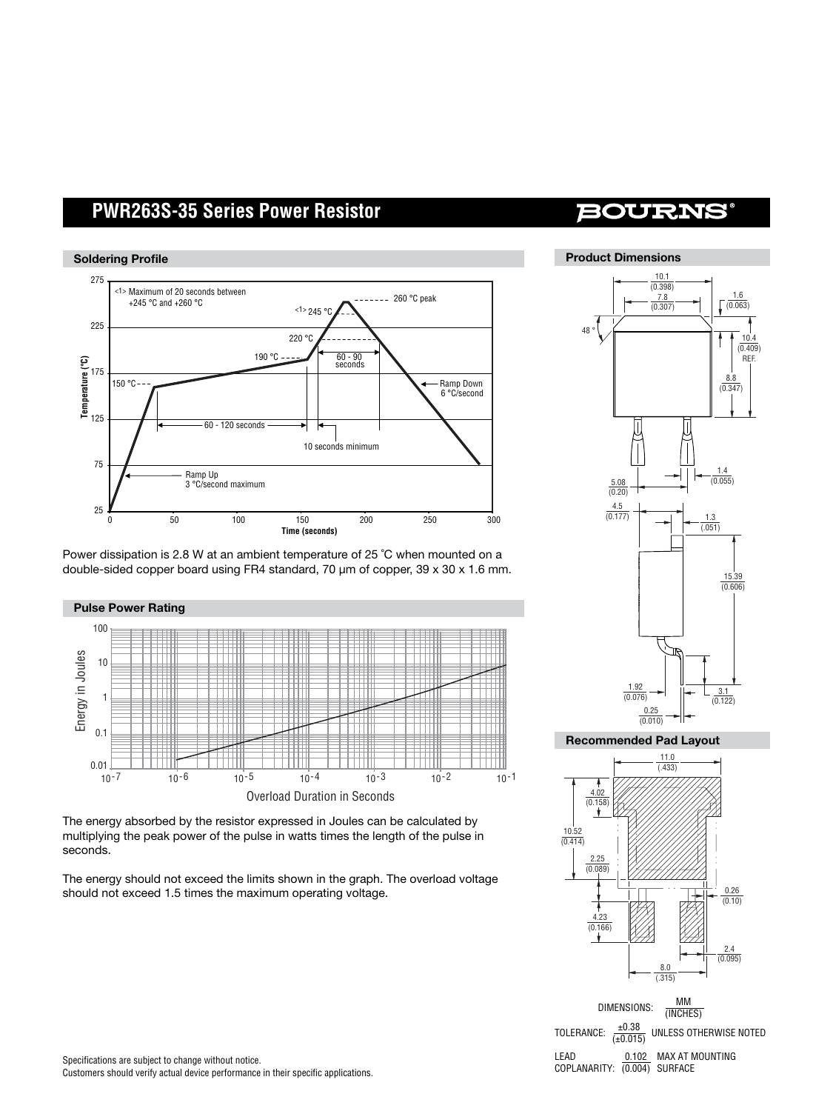## **PWR263S-35 Series Power Resistor**



Power dissipation is 2.8 W at an ambient temperature of 25 ˚C when mounted on a double-sided copper board using FR4 standard, 70 µm of copper, 39 x 30 x 1.6 mm.



The energy absorbed by the resistor expressed in Joules can be calculated by multiplying the peak power of the pulse in watts times the length of the pulse in seconds.

The energy should not exceed the limits shown in the graph. The overload voltage should not exceed 1.5 times the maximum operating voltage.

## **BOURNS**



**Recommended Pad Layout**



DIMENSIONS: MM<br>(INCHES) TOLERANCE:  $\frac{\pm 0.38}{(\pm 0.015)}$  UNLESS OTHERWISE NOTED LEAD 0.102 MAX AT MOUNTING COPLANARITY: (0.004) SURFACE